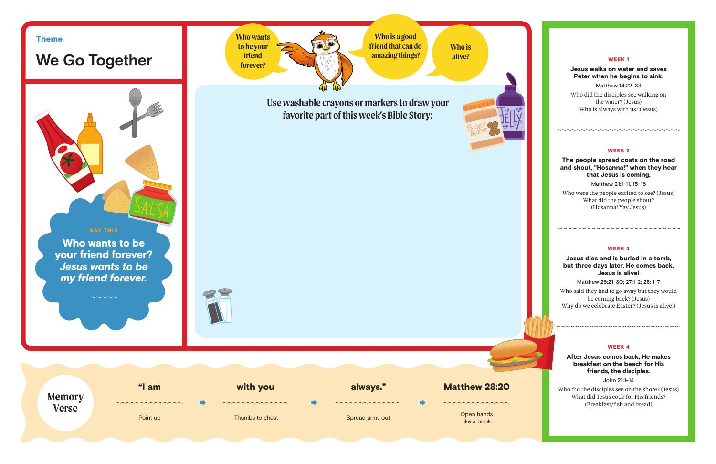

### WEEK 1

# Jesus walks on water and saves Peter when he begins to sink.

Matthew 14:22-33 Who did the disciples see walking on the water? (Jesus) Who is always with us? (Jesus)

#### WEEK 2

## The people spread coats on the road and shout, "Hosanna!" when they hear that Jesus is coming.

Matthew 21:1-11, 15-16

Who were the people excited to see? (Jesus) What did the people shout? (Hosanna! Yay Jesus)

### WEEK 3

## Jesus dies and is buried in a tomb, but three days later, He comes back. Jesus is alive!

Matthew 26:21-30; 27:1-2; 28: 1-7

Who said they had to go away but they would be coming back? (Jesus) Why do we celebrate Easter? (Jesus is alive!)

#### WEEK 4

<u>unananananananananan</u>

After Jesus comes back, He makes breakfast on the beach for His friends, the disciples.

John 21:1-14

Who did the disciples see on the shore? (Jesus) What did Jesus cook for His friends? (Breakfast/fish and bread)